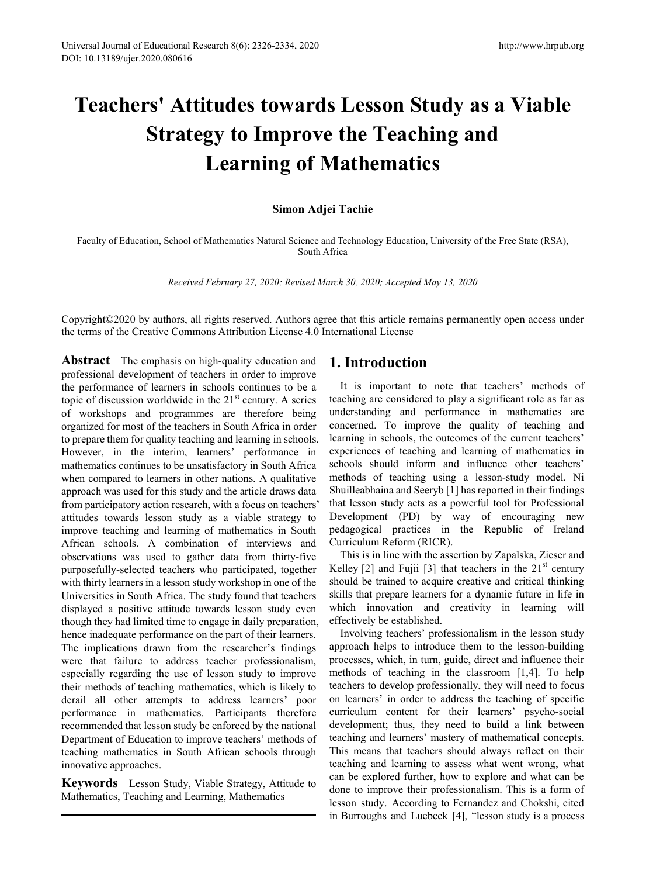# **Teachers' Attitudes towards Lesson Study as a Viable Strategy to Improve the Teaching and Learning of Mathematics**

## **Simon Adjei Tachie**

Faculty of Education, School of Mathematics Natural Science and Technology Education, University of the Free State (RSA), South Africa

*Received February 27, 2020; Revised March 30, 2020; Accepted May 13, 2020*

Copyright©2020 by authors, all rights reserved. Authors agree that this article remains permanently open access under the terms of the Creative Commons Attribution License 4.0 International License

**Abstract** The emphasis on high-quality education and professional development of teachers in order to improve the performance of learners in schools continues to be a topic of discussion worldwide in the  $21<sup>st</sup>$  century. A series of workshops and programmes are therefore being organized for most of the teachers in South Africa in order to prepare them for quality teaching and learning in schools. However, in the interim, learners' performance in mathematics continues to be unsatisfactory in South Africa when compared to learners in other nations. A qualitative approach was used for this study and the article draws data from participatory action research, with a focus on teachers' attitudes towards lesson study as a viable strategy to improve teaching and learning of mathematics in South African schools. A combination of interviews and observations was used to gather data from thirty-five purposefully-selected teachers who participated, together with thirty learners in a lesson study workshop in one of the Universities in South Africa. The study found that teachers displayed a positive attitude towards lesson study even though they had limited time to engage in daily preparation, hence inadequate performance on the part of their learners. The implications drawn from the researcher's findings were that failure to address teacher professionalism, especially regarding the use of lesson study to improve their methods of teaching mathematics, which is likely to derail all other attempts to address learners' poor performance in mathematics. Participants therefore recommended that lesson study be enforced by the national Department of Education to improve teachers' methods of teaching mathematics in South African schools through innovative approaches.

**Keywords** Lesson Study, Viable Strategy, Attitude to Mathematics, Teaching and Learning, Mathematics

# **1. Introduction**

It is important to note that teachers' methods of teaching are considered to play a significant role as far as understanding and performance in mathematics are concerned. To improve the quality of teaching and learning in schools, the outcomes of the current teachers' experiences of teaching and learning of mathematics in schools should inform and influence other teachers' methods of teaching using a lesson-study model. Ni Shuilleabhaina and Seeryb [1] has reported in their findings that lesson study acts as a powerful tool for Professional Development (PD) by way of encouraging new pedagogical practices in the Republic of Ireland Curriculum Reform (RICR).

This is in line with the assertion by Zapalska, Zieser and Kelley  $[2]$  and Fujii  $[3]$  that teachers in the  $21<sup>st</sup>$  century should be trained to acquire creative and critical thinking skills that prepare learners for a dynamic future in life in which innovation and creativity in learning will effectively be established.

Involving teachers' professionalism in the lesson study approach helps to introduce them to the lesson-building processes, which, in turn, guide, direct and influence their methods of teaching in the classroom [1,4]. To help teachers to develop professionally, they will need to focus on learners' in order to address the teaching of specific curriculum content for their learners' psycho-social development; thus, they need to build a link between teaching and learners' mastery of mathematical concepts. This means that teachers should always reflect on their teaching and learning to assess what went wrong, what can be explored further, how to explore and what can be done to improve their professionalism. This is a form of lesson study. According to Fernandez and Chokshi, cited in Burroughs and Luebeck [4], "lesson study is a process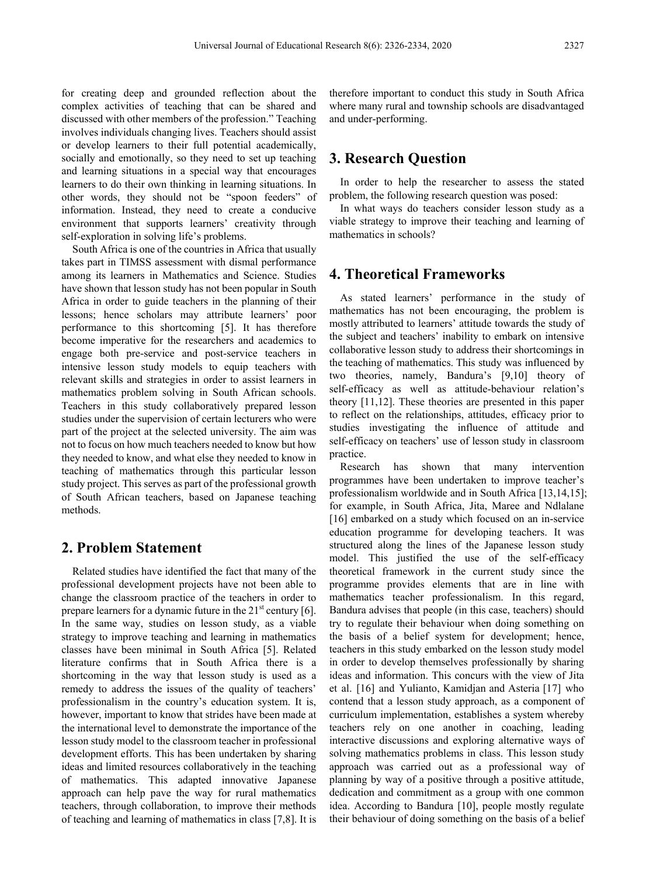for creating deep and grounded reflection about the complex activities of teaching that can be shared and discussed with other members of the profession." Teaching involves individuals changing lives. Teachers should assist or develop learners to their full potential academically, socially and emotionally, so they need to set up teaching and learning situations in a special way that encourages learners to do their own thinking in learning situations. In other words, they should not be "spoon feeders" of information. Instead, they need to create a conducive environment that supports learners' creativity through self-exploration in solving life's problems.

South Africa is one of the countries in Africa that usually takes part in TIMSS assessment with dismal performance among its learners in Mathematics and Science. Studies have shown that lesson study has not been popular in South Africa in order to guide teachers in the planning of their lessons; hence scholars may attribute learners' poor performance to this shortcoming [5]. It has therefore become imperative for the researchers and academics to engage both pre-service and post-service teachers in intensive lesson study models to equip teachers with relevant skills and strategies in order to assist learners in mathematics problem solving in South African schools. Teachers in this study collaboratively prepared lesson studies under the supervision of certain lecturers who were part of the project at the selected university. The aim was not to focus on how much teachers needed to know but how they needed to know, and what else they needed to know in teaching of mathematics through this particular lesson study project. This serves as part of the professional growth of South African teachers, based on Japanese teaching methods.

## **2. Problem Statement**

Related studies have identified the fact that many of the professional development projects have not been able to change the classroom practice of the teachers in order to prepare learners for a dynamic future in the  $21<sup>st</sup>$  century [6]. In the same way, studies on lesson study, as a viable strategy to improve teaching and learning in mathematics classes have been minimal in South Africa [5]. Related literature confirms that in South Africa there is a shortcoming in the way that lesson study is used as a remedy to address the issues of the quality of teachers' professionalism in the country's education system. It is, however, important to know that strides have been made at the international level to demonstrate the importance of the lesson study model to the classroom teacher in professional development efforts. This has been undertaken by sharing ideas and limited resources collaboratively in the teaching of mathematics. This adapted innovative Japanese approach can help pave the way for rural mathematics teachers, through collaboration, to improve their methods of teaching and learning of mathematics in class [7,8]. It is

therefore important to conduct this study in South Africa where many rural and township schools are disadvantaged and under-performing.

## **3. Research Question**

In order to help the researcher to assess the stated problem, the following research question was posed:

In what ways do teachers consider lesson study as a viable strategy to improve their teaching and learning of mathematics in schools?

# **4. Theoretical Frameworks**

As stated learners' performance in the study of mathematics has not been encouraging, the problem is mostly attributed to learners' attitude towards the study of the subject and teachers' inability to embark on intensive collaborative lesson study to address their shortcomings in the teaching of mathematics. This study was influenced by two theories, namely, Bandura's [9,10] theory of self-efficacy as well as attitude-behaviour relation's theory [11,12]. These theories are presented in this paper to reflect on the relationships, attitudes, efficacy prior to studies investigating the influence of attitude and self-efficacy on teachers' use of lesson study in classroom practice.

Research has shown that many intervention programmes have been undertaken to improve teacher's professionalism worldwide and in South Africa [13,14,15]; for example, in South Africa, Jita, Maree and Ndlalane [16] embarked on a study which focused on an in-service education programme for developing teachers. It was structured along the lines of the Japanese lesson study model. This justified the use of the self-efficacy theoretical framework in the current study since the programme provides elements that are in line with mathematics teacher professionalism. In this regard, Bandura advises that people (in this case, teachers) should try to regulate their behaviour when doing something on the basis of a belief system for development; hence, teachers in this study embarked on the lesson study model in order to develop themselves professionally by sharing ideas and information. This concurs with the view of Jita et al. [16] and Yulianto, Kamidjan and Asteria [17] who contend that a lesson study approach, as a component of curriculum implementation, establishes a system whereby teachers rely on one another in coaching, leading interactive discussions and exploring alternative ways of solving mathematics problems in class. This lesson study approach was carried out as a professional way of planning by way of a positive through a positive attitude, dedication and commitment as a group with one common idea. According to Bandura [10], people mostly regulate their behaviour of doing something on the basis of a belief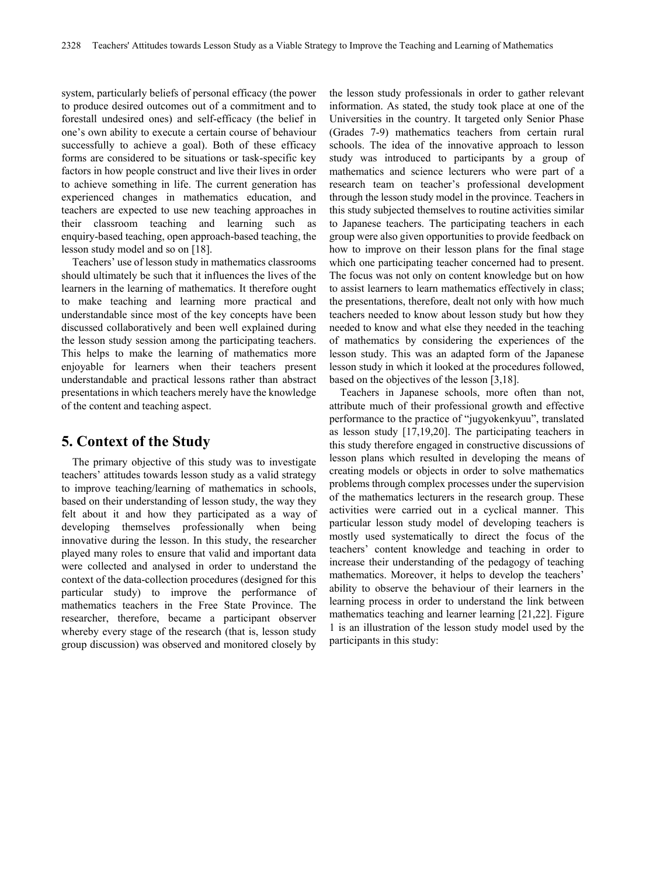system, particularly beliefs of personal efficacy (the power to produce desired outcomes out of a commitment and to forestall undesired ones) and self-efficacy (the belief in one's own ability to execute a certain course of behaviour successfully to achieve a goal). Both of these efficacy forms are considered to be situations or task-specific key factors in how people construct and live their lives in order to achieve something in life. The current generation has experienced changes in mathematics education, and teachers are expected to use new teaching approaches in their classroom teaching and learning such as enquiry-based teaching, open approach-based teaching, the lesson study model and so on [18].

Teachers' use of lesson study in mathematics classrooms should ultimately be such that it influences the lives of the learners in the learning of mathematics. It therefore ought to make teaching and learning more practical and understandable since most of the key concepts have been discussed collaboratively and been well explained during the lesson study session among the participating teachers. This helps to make the learning of mathematics more enjoyable for learners when their teachers present understandable and practical lessons rather than abstract presentations in which teachers merely have the knowledge of the content and teaching aspect.

## **5. Context of the Study**

The primary objective of this study was to investigate teachers' attitudes towards lesson study as a valid strategy to improve teaching/learning of mathematics in schools, based on their understanding of lesson study, the way they felt about it and how they participated as a way of developing themselves professionally when being innovative during the lesson. In this study, the researcher played many roles to ensure that valid and important data were collected and analysed in order to understand the context of the data-collection procedures (designed for this particular study) to improve the performance of mathematics teachers in the Free State Province. The researcher, therefore, became a participant observer whereby every stage of the research (that is, lesson study group discussion) was observed and monitored closely by

the lesson study professionals in order to gather relevant information. As stated, the study took place at one of the Universities in the country. It targeted only Senior Phase (Grades 7-9) mathematics teachers from certain rural schools. The idea of the innovative approach to lesson study was introduced to participants by a group of mathematics and science lecturers who were part of a research team on teacher's professional development through the lesson study model in the province. Teachers in this study subjected themselves to routine activities similar to Japanese teachers. The participating teachers in each group were also given opportunities to provide feedback on how to improve on their lesson plans for the final stage which one participating teacher concerned had to present. The focus was not only on content knowledge but on how to assist learners to learn mathematics effectively in class; the presentations, therefore, dealt not only with how much teachers needed to know about lesson study but how they needed to know and what else they needed in the teaching of mathematics by considering the experiences of the lesson study. This was an adapted form of the Japanese lesson study in which it looked at the procedures followed, based on the objectives of the lesson [3,18].

Teachers in Japanese schools, more often than not, attribute much of their professional growth and effective performance to the practice of "jugyokenkyuu", translated as lesson study [17,19,20]. The participating teachers in this study therefore engaged in constructive discussions of lesson plans which resulted in developing the means of creating models or objects in order to solve mathematics problems through complex processes under the supervision of the mathematics lecturers in the research group. These activities were carried out in a cyclical manner. This particular lesson study model of developing teachers is mostly used systematically to direct the focus of the teachers' content knowledge and teaching in order to increase their understanding of the pedagogy of teaching mathematics. Moreover, it helps to develop the teachers' ability to observe the behaviour of their learners in the learning process in order to understand the link between mathematics teaching and learner learning [21,22]. Figure 1 is an illustration of the lesson study model used by the participants in this study: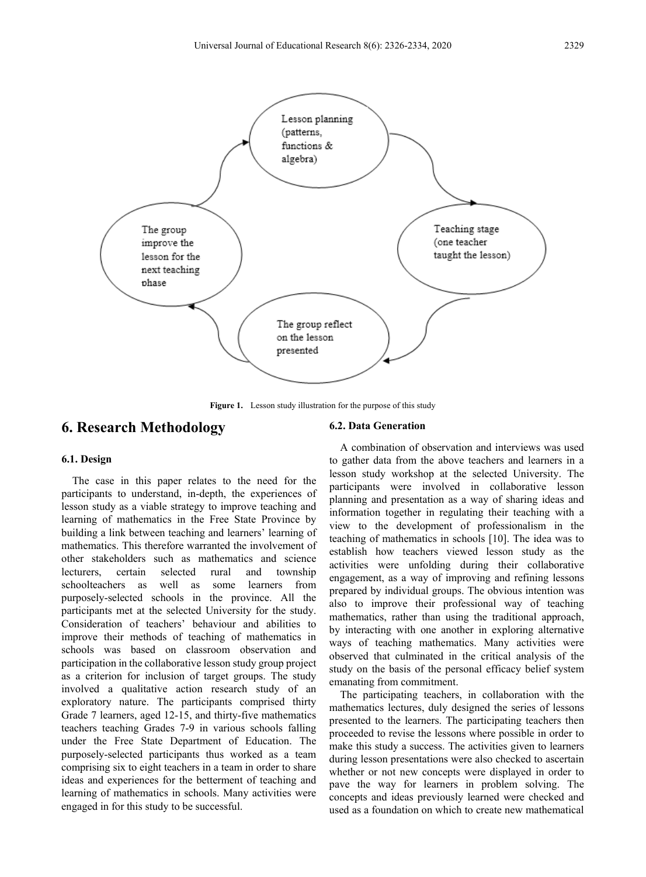

**Figure 1.** Lesson study illustration for the purpose of this study

### **6. Research Methodology**

**6.1. Design**

#### **6.2. Data Generation**

The case in this paper relates to the need for the participants to understand, in-depth, the experiences of lesson study as a viable strategy to improve teaching and learning of mathematics in the Free State Province by building a link between teaching and learners' learning of mathematics. This therefore warranted the involvement of other stakeholders such as mathematics and science lecturers, certain selected rural and township schoolteachers as well as some learners from purposely-selected schools in the province. All the participants met at the selected University for the study. Consideration of teachers' behaviour and abilities to improve their methods of teaching of mathematics in schools was based on classroom observation and participation in the collaborative lesson study group project as a criterion for inclusion of target groups. The study involved a qualitative action research study of an exploratory nature. The participants comprised thirty Grade 7 learners, aged 12-15, and thirty-five mathematics teachers teaching Grades 7-9 in various schools falling under the Free State Department of Education. The purposely-selected participants thus worked as a team comprising six to eight teachers in a team in order to share ideas and experiences for the betterment of teaching and learning of mathematics in schools. Many activities were engaged in for this study to be successful.

A combination of observation and interviews was used to gather data from the above teachers and learners in a lesson study workshop at the selected University. The participants were involved in collaborative lesson planning and presentation as a way of sharing ideas and information together in regulating their teaching with a view to the development of professionalism in the teaching of mathematics in schools [10]. The idea was to establish how teachers viewed lesson study as the activities were unfolding during their collaborative engagement, as a way of improving and refining lessons prepared by individual groups. The obvious intention was also to improve their professional way of teaching mathematics, rather than using the traditional approach, by interacting with one another in exploring alternative ways of teaching mathematics. Many activities were observed that culminated in the critical analysis of the study on the basis of the personal efficacy belief system emanating from commitment.

The participating teachers, in collaboration with the mathematics lectures, duly designed the series of lessons presented to the learners. The participating teachers then proceeded to revise the lessons where possible in order to make this study a success. The activities given to learners during lesson presentations were also checked to ascertain whether or not new concepts were displayed in order to pave the way for learners in problem solving. The concepts and ideas previously learned were checked and used as a foundation on which to create new mathematical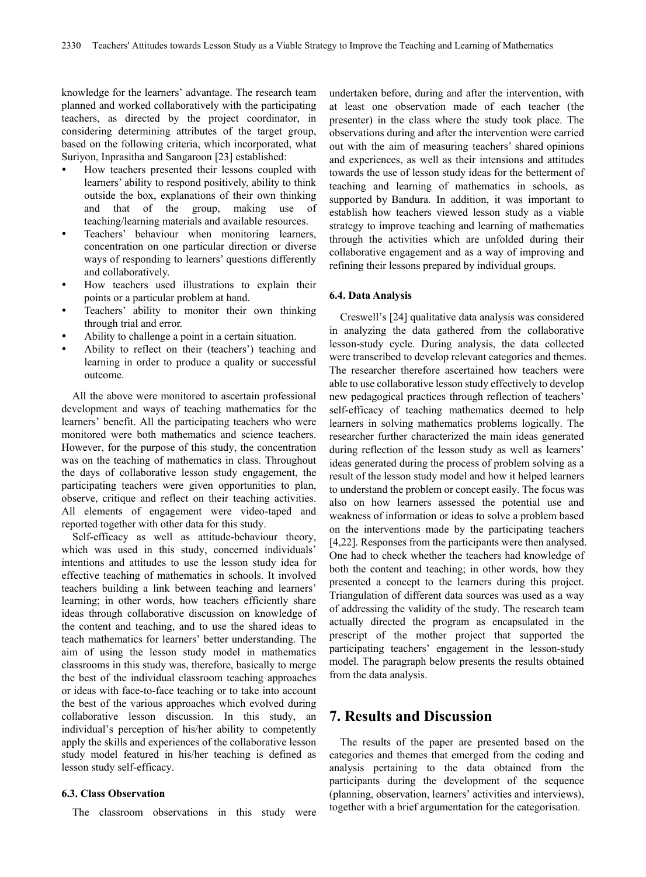knowledge for the learners' advantage. The research team planned and worked collaboratively with the participating teachers, as directed by the project coordinator, in considering determining attributes of the target group, based on the following criteria, which incorporated, what Suriyon, Inprasitha and Sangaroon [23] established:

- How teachers presented their lessons coupled with learners' ability to respond positively, ability to think outside the box, explanations of their own thinking and that of the group, making use of teaching/learning materials and available resources.
- Teachers' behaviour when monitoring learners, concentration on one particular direction or diverse ways of responding to learners' questions differently and collaboratively.
- How teachers used illustrations to explain their points or a particular problem at hand.
- Teachers' ability to monitor their own thinking through trial and error.
- Ability to challenge a point in a certain situation.
- Ability to reflect on their (teachers') teaching and learning in order to produce a quality or successful outcome.

All the above were monitored to ascertain professional development and ways of teaching mathematics for the learners' benefit. All the participating teachers who were monitored were both mathematics and science teachers. However, for the purpose of this study, the concentration was on the teaching of mathematics in class. Throughout the days of collaborative lesson study engagement, the participating teachers were given opportunities to plan, observe, critique and reflect on their teaching activities. All elements of engagement were video-taped and reported together with other data for this study.

Self-efficacy as well as attitude-behaviour theory, which was used in this study, concerned individuals' intentions and attitudes to use the lesson study idea for effective teaching of mathematics in schools. It involved teachers building a link between teaching and learners' learning; in other words, how teachers efficiently share ideas through collaborative discussion on knowledge of the content and teaching, and to use the shared ideas to teach mathematics for learners' better understanding. The aim of using the lesson study model in mathematics classrooms in this study was, therefore, basically to merge the best of the individual classroom teaching approaches or ideas with face-to-face teaching or to take into account the best of the various approaches which evolved during collaborative lesson discussion. In this study, an individual's perception of his/her ability to competently apply the skills and experiences of the collaborative lesson study model featured in his/her teaching is defined as lesson study self-efficacy.

#### **6.3. Class Observation**

The classroom observations in this study were

undertaken before, during and after the intervention, with at least one observation made of each teacher (the presenter) in the class where the study took place. The observations during and after the intervention were carried out with the aim of measuring teachers' shared opinions and experiences, as well as their intensions and attitudes towards the use of lesson study ideas for the betterment of teaching and learning of mathematics in schools, as supported by Bandura. In addition, it was important to establish how teachers viewed lesson study as a viable strategy to improve teaching and learning of mathematics through the activities which are unfolded during their collaborative engagement and as a way of improving and refining their lessons prepared by individual groups.

#### **6.4. Data Analysis**

Creswell's [24] qualitative data analysis was considered in analyzing the data gathered from the collaborative lesson-study cycle. During analysis, the data collected were transcribed to develop relevant categories and themes. The researcher therefore ascertained how teachers were able to use collaborative lesson study effectively to develop new pedagogical practices through reflection of teachers' self-efficacy of teaching mathematics deemed to help learners in solving mathematics problems logically. The researcher further characterized the main ideas generated during reflection of the lesson study as well as learners' ideas generated during the process of problem solving as a result of the lesson study model and how it helped learners to understand the problem or concept easily. The focus was also on how learners assessed the potential use and weakness of information or ideas to solve a problem based on the interventions made by the participating teachers [4,22]. Responses from the participants were then analysed. One had to check whether the teachers had knowledge of both the content and teaching; in other words, how they presented a concept to the learners during this project. Triangulation of different data sources was used as a way of addressing the validity of the study. The research team actually directed the program as encapsulated in the prescript of the mother project that supported the participating teachers' engagement in the lesson-study model. The paragraph below presents the results obtained from the data analysis.

## **7. Results and Discussion**

The results of the paper are presented based on the categories and themes that emerged from the coding and analysis pertaining to the data obtained from the participants during the development of the sequence (planning, observation, learners' activities and interviews), together with a brief argumentation for the categorisation.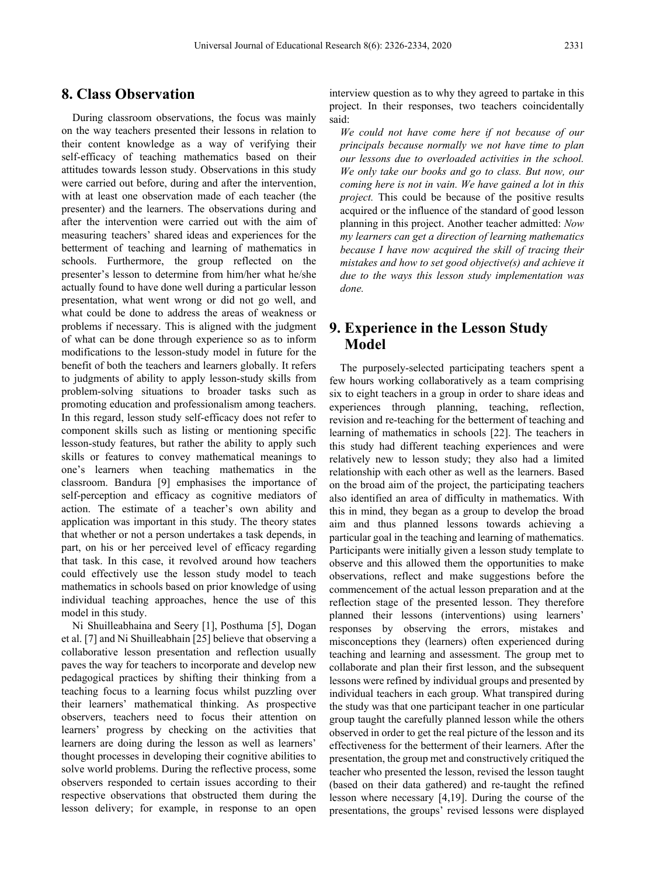# **8. Class Observation**

During classroom observations, the focus was mainly on the way teachers presented their lessons in relation to their content knowledge as a way of verifying their self-efficacy of teaching mathematics based on their attitudes towards lesson study. Observations in this study were carried out before, during and after the intervention, with at least one observation made of each teacher (the presenter) and the learners. The observations during and after the intervention were carried out with the aim of measuring teachers' shared ideas and experiences for the betterment of teaching and learning of mathematics in schools. Furthermore, the group reflected on the presenter's lesson to determine from him/her what he/she actually found to have done well during a particular lesson presentation, what went wrong or did not go well, and what could be done to address the areas of weakness or problems if necessary. This is aligned with the judgment of what can be done through experience so as to inform modifications to the lesson-study model in future for the benefit of both the teachers and learners globally. It refers to judgments of ability to apply lesson-study skills from problem-solving situations to broader tasks such as promoting education and professionalism among teachers. In this regard, lesson study self-efficacy does not refer to component skills such as listing or mentioning specific lesson-study features, but rather the ability to apply such skills or features to convey mathematical meanings to one's learners when teaching mathematics in the classroom. Bandura [9] emphasises the importance of self-perception and efficacy as cognitive mediators of action. The estimate of a teacher's own ability and application was important in this study. The theory states that whether or not a person undertakes a task depends, in part, on his or her perceived level of efficacy regarding that task. In this case, it revolved around how teachers could effectively use the lesson study model to teach mathematics in schools based on prior knowledge of using individual teaching approaches, hence the use of this model in this study.

Ni Shuilleabhaina and Seery [1], Posthuma [5], Dogan et al. [7] and Ni Shuilleabhain [25] believe that observing a collaborative lesson presentation and reflection usually paves the way for teachers to incorporate and develop new pedagogical practices by shifting their thinking from a teaching focus to a learning focus whilst puzzling over their learners' mathematical thinking. As prospective observers, teachers need to focus their attention on learners' progress by checking on the activities that learners are doing during the lesson as well as learners' thought processes in developing their cognitive abilities to solve world problems. During the reflective process, some observers responded to certain issues according to their respective observations that obstructed them during the lesson delivery; for example, in response to an open

interview question as to why they agreed to partake in this project. In their responses, two teachers coincidentally said:

*We could not have come here if not because of our principals because normally we not have time to plan our lessons due to overloaded activities in the school. We only take our books and go to class. But now, our coming here is not in vain. We have gained a lot in this project.* This could be because of the positive results acquired or the influence of the standard of good lesson planning in this project. Another teacher admitted: *Now my learners can get a direction of learning mathematics because I have now acquired the skill of tracing their mistakes and how to set good objective(s) and achieve it due to the ways this lesson study implementation was done.*

# **9. Experience in the Lesson Study Model**

The purposely-selected participating teachers spent a few hours working collaboratively as a team comprising six to eight teachers in a group in order to share ideas and experiences through planning, teaching, reflection, revision and re-teaching for the betterment of teaching and learning of mathematics in schools [22]. The teachers in this study had different teaching experiences and were relatively new to lesson study; they also had a limited relationship with each other as well as the learners. Based on the broad aim of the project, the participating teachers also identified an area of difficulty in mathematics. With this in mind, they began as a group to develop the broad aim and thus planned lessons towards achieving a particular goal in the teaching and learning of mathematics. Participants were initially given a lesson study template to observe and this allowed them the opportunities to make observations, reflect and make suggestions before the commencement of the actual lesson preparation and at the reflection stage of the presented lesson. They therefore planned their lessons (interventions) using learners' responses by observing the errors, mistakes and misconceptions they (learners) often experienced during teaching and learning and assessment. The group met to collaborate and plan their first lesson, and the subsequent lessons were refined by individual groups and presented by individual teachers in each group. What transpired during the study was that one participant teacher in one particular group taught the carefully planned lesson while the others observed in order to get the real picture of the lesson and its effectiveness for the betterment of their learners. After the presentation, the group met and constructively critiqued the teacher who presented the lesson, revised the lesson taught (based on their data gathered) and re-taught the refined lesson where necessary [4,19]. During the course of the presentations, the groups' revised lessons were displayed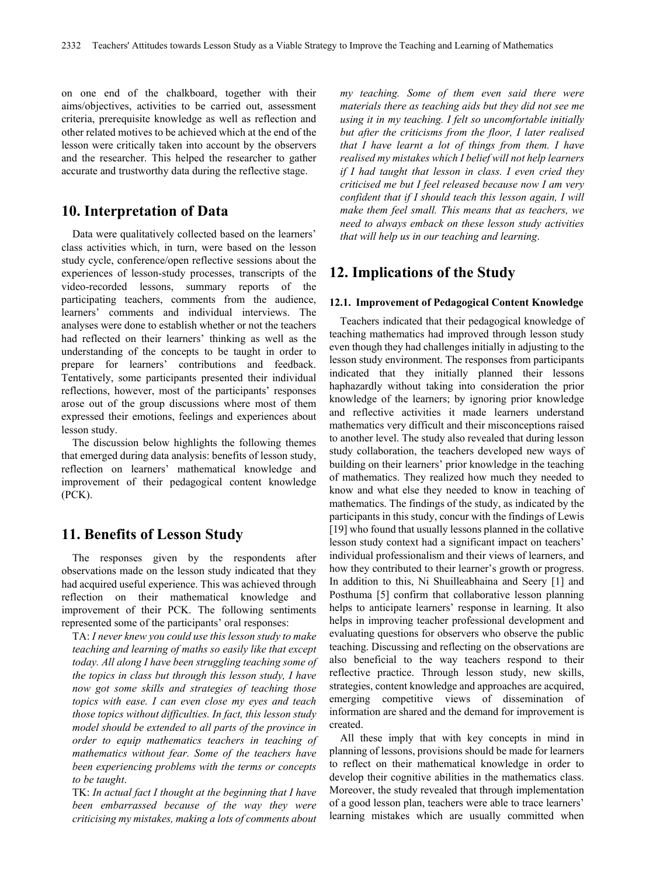on one end of the chalkboard, together with their aims/objectives, activities to be carried out, assessment criteria, prerequisite knowledge as well as reflection and other related motives to be achieved which at the end of the lesson were critically taken into account by the observers and the researcher. This helped the researcher to gather accurate and trustworthy data during the reflective stage.

## **10. Interpretation of Data**

Data were qualitatively collected based on the learners' class activities which, in turn, were based on the lesson study cycle, conference/open reflective sessions about the experiences of lesson-study processes, transcripts of the video-recorded lessons, summary reports of the participating teachers, comments from the audience, learners' comments and individual interviews. The analyses were done to establish whether or not the teachers had reflected on their learners' thinking as well as the understanding of the concepts to be taught in order to prepare for learners' contributions and feedback. Tentatively, some participants presented their individual reflections, however, most of the participants' responses arose out of the group discussions where most of them expressed their emotions, feelings and experiences about lesson study.

The discussion below highlights the following themes that emerged during data analysis: benefits of lesson study, reflection on learners' mathematical knowledge and improvement of their pedagogical content knowledge (PCK).

# **11. Benefits of Lesson Study**

The responses given by the respondents after observations made on the lesson study indicated that they had acquired useful experience. This was achieved through reflection on their mathematical knowledge and improvement of their PCK. The following sentiments represented some of the participants' oral responses:

TA: *I never knew you could use this lesson study to make teaching and learning of maths so easily like that except today. All along I have been struggling teaching some of the topics in class but through this lesson study, I have now got some skills and strategies of teaching those topics with ease. I can even close my eyes and teach those topics without difficulties. In fact, this lesson study model should be extended to all parts of the province in order to equip mathematics teachers in teaching of mathematics without fear. Some of the teachers have been experiencing problems with the terms or concepts to be taught*.

TK: *In actual fact I thought at the beginning that I have been embarrassed because of the way they were criticising my mistakes, making a lots of comments about* 

*my teaching. Some of them even said there were materials there as teaching aids but they did not see me using it in my teaching. I felt so uncomfortable initially but after the criticisms from the floor, I later realised that I have learnt a lot of things from them. I have realised my mistakes which I belief will not help learners if I had taught that lesson in class. I even cried they criticised me but I feel released because now I am very confident that if I should teach this lesson again, I will make them feel small. This means that as teachers, we need to always emback on these lesson study activities that will help us in our teaching and learning*.

# **12. Implications of the Study**

#### **12.1. Improvement of Pedagogical Content Knowledge**

Teachers indicated that their pedagogical knowledge of teaching mathematics had improved through lesson study even though they had challenges initially in adjusting to the lesson study environment. The responses from participants indicated that they initially planned their lessons haphazardly without taking into consideration the prior knowledge of the learners; by ignoring prior knowledge and reflective activities it made learners understand mathematics very difficult and their misconceptions raised to another level. The study also revealed that during lesson study collaboration, the teachers developed new ways of building on their learners' prior knowledge in the teaching of mathematics. They realized how much they needed to know and what else they needed to know in teaching of mathematics. The findings of the study, as indicated by the participants in this study, concur with the findings of Lewis [19] who found that usually lessons planned in the collative lesson study context had a significant impact on teachers' individual professionalism and their views of learners, and how they contributed to their learner's growth or progress. In addition to this, Ni Shuilleabhaina and Seery [1] and Posthuma [5] confirm that collaborative lesson planning helps to anticipate learners' response in learning. It also helps in improving teacher professional development and evaluating questions for observers who observe the public teaching. Discussing and reflecting on the observations are also beneficial to the way teachers respond to their reflective practice. Through lesson study, new skills, strategies, content knowledge and approaches are acquired, emerging competitive views of dissemination of information are shared and the demand for improvement is created.

All these imply that with key concepts in mind in planning of lessons, provisions should be made for learners to reflect on their mathematical knowledge in order to develop their cognitive abilities in the mathematics class. Moreover, the study revealed that through implementation of a good lesson plan, teachers were able to trace learners' learning mistakes which are usually committed when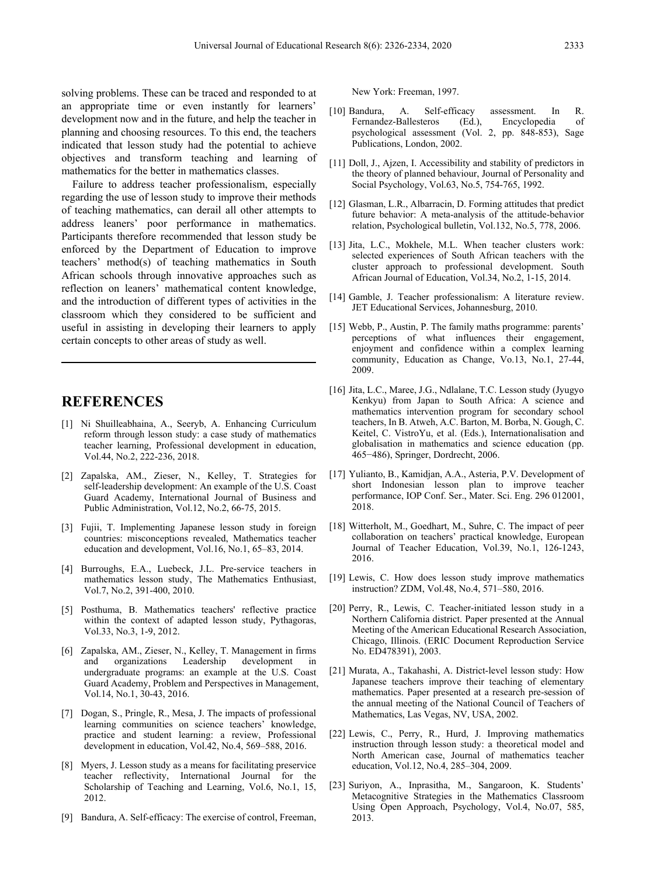solving problems. These can be traced and responded to at an appropriate time or even instantly for learners' development now and in the future, and help the teacher in planning and choosing resources. To this end, the teachers indicated that lesson study had the potential to achieve objectives and transform teaching and learning of mathematics for the better in mathematics classes.

Failure to address teacher professionalism, especially regarding the use of lesson study to improve their methods of teaching mathematics, can derail all other attempts to address leaners' poor performance in mathematics. Participants therefore recommended that lesson study be enforced by the Department of Education to improve teachers' method(s) of teaching mathematics in South African schools through innovative approaches such as reflection on leaners' mathematical content knowledge, and the introduction of different types of activities in the classroom which they considered to be sufficient and useful in assisting in developing their learners to apply certain concepts to other areas of study as well.

## **REFERENCES**

- [1] Ni Shuilleabhaina, A., Seeryb, A. Enhancing Curriculum reform through lesson study: a case study of mathematics teacher learning, Professional development in education, Vol.44, No.2, 222-236, 2018.
- [2] Zapalska, AM., Zieser, N., Kelley, T. Strategies for self-leadership development: An example of the U.S. Coast Guard Academy, International Journal of Business and Public Administration, Vol.12, No.2, 66-75, 2015.
- [3] Fujii, T. Implementing Japanese lesson study in foreign countries: misconceptions revealed, Mathematics teacher education and development, Vol.16, No.1, 65–83, 2014.
- [4] Burroughs, E.A., Luebeck, J.L. Pre-service teachers in mathematics lesson study, The Mathematics Enthusiast, Vol.7, No.2, 391-400, 2010.
- [5] Posthuma, B. Mathematics teachers' reflective practice within the context of adapted lesson study, Pythagoras, Vol.33, No.3, 1-9, 2012.
- [6] Zapalska, AM., Zieser, N., Kelley, T. Management in firms and organizations Leadership development in undergraduate programs: an example at the U.S. Coast Guard Academy, Problem and Perspectives in Management, Vol.14, No.1, 30-43, 2016.
- [7] Dogan, S., Pringle, R., Mesa, J. The impacts of professional learning communities on science teachers' knowledge, practice and student learning: a review, Professional development in education, Vol.42, No.4, 569–588, 2016.
- [8] Myers, J. Lesson study as a means for facilitating preservice teacher reflectivity, International Journal for the Scholarship of Teaching and Learning, Vol.6, No.1, 15, 2012.
- [9] Bandura, A. Self-efficacy: The exercise of control, Freeman,

New York: Freeman, 1997.

- [10] Bandura, A. Self-efficacy assessment. In R. Fernandez-Ballesteros psychological assessment (Vol. 2, pp. 848-853), Sage Publications, London, 2002.
- [11] Doll, J., Ajzen, I. Accessibility and stability of predictors in the theory of planned behaviour, Journal of Personality and Social Psychology, Vol.63, No.5, 754-765, 1992.
- [12] Glasman, L.R., Albarracin, D. Forming attitudes that predict future behavior: A meta-analysis of the attitude-behavior relation, Psychological bulletin, Vol.132, No.5, 778, 2006.
- [13] Jita, L.C., Mokhele, M.L. When teacher clusters work: selected experiences of South African teachers with the cluster approach to professional development. South African Journal of Education, Vol.34, No.2, 1-15, 2014.
- [14] Gamble, J. Teacher professionalism: A literature review. JET Educational Services, Johannesburg, 2010.
- [15] Webb, P., Austin, P. The family maths programme: parents' perceptions of what influences their engagement, enjoyment and confidence within a complex learning community, Education as Change, Vo.13, No.1, 27-44, 2009.
- [16] Jita, L.C., Maree, J.G., Ndlalane, T.C. Lesson study (Jyugyo Kenkyu) from Japan to South Africa: A science and mathematics intervention program for secondary school teachers, In B. Atweh, A.C. Barton, M. Borba, N. Gough, C. Keitel, C. VistroYu, et al. (Eds.), Internationalisation and globalisation in mathematics and science education (pp. 465−486), Springer, Dordrecht, 2006.
- [17] Yulianto, B., Kamidjan, A.A., Asteria, P.V. Development of short Indonesian lesson plan to improve teacher performance, IOP Conf. Ser., Mater. Sci. Eng. 296 012001, 2018.
- [18] Witterholt, M., Goedhart, M., Suhre, C. The impact of peer collaboration on teachers' practical knowledge, European Journal of Teacher Education, Vol.39, No.1, 126-1243, 2016.
- [19] Lewis, C. How does lesson study improve mathematics instruction? ZDM, Vol.48, No.4, 571–580, 2016.
- [20] Perry, R., Lewis, C. Teacher-initiated lesson study in a Northern California district. Paper presented at the Annual Meeting of the American Educational Research Association, Chicago, Illinois. (ERIC Document Reproduction Service No. ED478391), 2003.
- [21] Murata, A., Takahashi, A. District-level lesson study: How Japanese teachers improve their teaching of elementary mathematics. Paper presented at a research pre-session of the annual meeting of the National Council of Teachers of Mathematics, Las Vegas, NV, USA, 2002.
- [22] Lewis, C., Perry, R., Hurd, J. Improving mathematics instruction through lesson study: a theoretical model and North American case, Journal of mathematics teacher education, Vol.12, No.4, 285–304, 2009.
- [23] Suriyon, A., Inprasitha, M., Sangaroon, K. Students' Metacognitive Strategies in the Mathematics Classroom Using Open Approach, Psychology, Vol.4, No.07, 585, 2013.